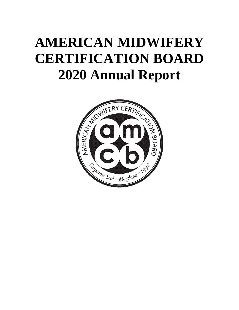# **AMERICAN MIDWIFERY CERTIFICATION BOARD 2020 Annual Report**

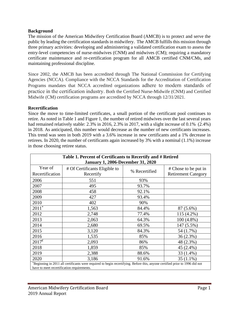### **Background**

The mission of the American Midwifery Certification Board (AMCB) is to protect and serve the public by leading the certification standards in midwifery. The AMCB fulfills this mission through three primary activities: developing and administering a validated certification exam to assess the entry-level competencies of nurse-midwives (CNM) and midwives (CM); requiring a mandatory certificate maintenance and re-certification program for all AMCB certified CNM/CMs, and maintaining professional discipline.

Since 2002, the AMCB has been accredited through The National Commission for Certifying Agencies (NCCA). Compliance with the NCCA Standards for the Accreditation of Certification Programs mandates that NCCA accredited organizations adhere to modern standards of practice in the certification industry. Both the Certified Nurse-Midwife (CNM) and Certified Midwife (CM) certification programs are accredited by NCCA through 12/31/2021.

#### **Recertification**

Since the move to time-limited certificates, a small portion of the certificant pool continues to retire. As noted in Table 1 and Figure 1, the number of retired midwives over the last several years had remained relatively stable: 2.3% in 2016, 2.3% in 2017, with a slight increase of 0.1% (2.4%) in 2018. As anticipated, this number would decrease as the number of new certificants increases. This trend was seen in both 2019 with a 3.6% increase in new certificants and a 1% decrease in retirees. In 2020, the number of certificants again increased by 3% with a nominal (1.1%) increase in those choosing retiree status.

| Table 1. Percent of Certificants to Recertify and # Retired                                                                  |                               |               |                            |  |  |  |  |  |
|------------------------------------------------------------------------------------------------------------------------------|-------------------------------|---------------|----------------------------|--|--|--|--|--|
| <b>January 1, 2006-December 31, 2020</b>                                                                                     |                               |               |                            |  |  |  |  |  |
| Year of                                                                                                                      | # Of Certificants Eligible to |               | # Chose to be put in       |  |  |  |  |  |
| Recertification                                                                                                              | Recertify                     | % Recertified | <b>Retirement Category</b> |  |  |  |  |  |
| 2006                                                                                                                         | 551                           | 93%           |                            |  |  |  |  |  |
| 2007                                                                                                                         | 495                           | 93.7%         |                            |  |  |  |  |  |
| 2008                                                                                                                         | 458                           | 92.1%         |                            |  |  |  |  |  |
| 2009                                                                                                                         | 427                           | 93.4%         |                            |  |  |  |  |  |
| 2010                                                                                                                         | 402                           | 90%           |                            |  |  |  |  |  |
| $2011*$                                                                                                                      | 1,563                         | 84.4%         | 87 (5.6%)                  |  |  |  |  |  |
| 2012                                                                                                                         | 2,748                         | 77.4%         | 115 (4.2%)                 |  |  |  |  |  |
| 2013                                                                                                                         | 2,063                         | 64.3%         | 100 (4.8%)                 |  |  |  |  |  |
| 2014                                                                                                                         | 2,680                         | 69.5%         | 147 (5.5%)                 |  |  |  |  |  |
| 2015                                                                                                                         | 3,120                         | 84.3%         | 54 (1.7%)                  |  |  |  |  |  |
| 2016                                                                                                                         | 1,535                         | 85%           | 36(2.3%)                   |  |  |  |  |  |
| $2017^{\epsilon}$                                                                                                            | 2,093                         | 86%           | 48 (2.3%)                  |  |  |  |  |  |
| 2018                                                                                                                         | 1,859                         | 85%           | 45 (2.4%)                  |  |  |  |  |  |
| 2019                                                                                                                         | 2,388                         | 88.6%         | 33 (1.4%)                  |  |  |  |  |  |
| 2020                                                                                                                         | 3,186                         | 91.6%         | 35 (1.1%)                  |  |  |  |  |  |
| *Beginning in 2011 all certificants were required to begin recertifying. Before this, anyone certified prior to 1996 did not |                               |               |                            |  |  |  |  |  |
| have to meet recertification requirements.                                                                                   |                               |               |                            |  |  |  |  |  |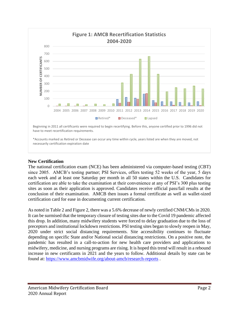

# **New Certification**

The national certification exam (NCE) has been administered via computer-based testing (CBT) since 2005. AMCB's testing partner; PSI Services, offers testing 52 weeks of the year, 5 days each week and at least one Saturday per month in all 50 states within the U.S. Candidates for certification are able to take the examination at their convenience at any of PSI's 300 plus testing sites as soon as their application is approved. Candidates receive official pass/fail results at the conclusion of their examination. AMCB then issues a formal certificate as well as wallet-sized certification card for ease in documenting current certification.

As noted in Table 2 and Figure 2, there was a 5.6% decrease of newly certified CNM/CMs in 2020. It can be surmised that the temporary closure of testing sites due to the Covid 19 pandemic affected this drop. In addition, many midwifery students were forced to delay graduation due to the loss of preceptors and institutional lockdown restrictions. PSI testing sites began to slowly reopen in May, 2020 under strict social distancing requirements. Site accessibility continues to fluctuate depending on specific State and/or National social distancing restrictions. On a positive note, the pandemic has resulted in a call-to-action for new health care providers and applications to midwifery, medicine, and nursing programs are rising. It is hoped this trend will result in a rebound increase in new certificants in 2021 and the years to follow. Additional details by state can be found at:<https://www.amcbmidwife.org/about-amcb/research-reports> .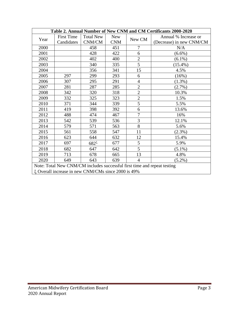| Table 2. Annual Number of New CNM and CM Certificants 2000-2020          |                   |                  |            |                      |                          |  |  |  |
|--------------------------------------------------------------------------|-------------------|------------------|------------|----------------------|--------------------------|--|--|--|
| Year                                                                     | <b>First Time</b> | <b>Total New</b> | <b>New</b> | Annual % Increase or |                          |  |  |  |
|                                                                          | Candidates        | CNM/CM           | <b>CNM</b> | New CM               | (Decrease) in new CNM/CM |  |  |  |
| 2000                                                                     |                   | 458              | 451        | 7                    | N/A                      |  |  |  |
| 2001                                                                     |                   | 428              | 422        | 6                    | $(6.6\%)$                |  |  |  |
| 2002                                                                     |                   | 402              | 400        | $\overline{2}$       | $(6.1\%)$                |  |  |  |
| 2003                                                                     |                   | 340              | 335        | 5                    | $(15.4\%)$               |  |  |  |
| 2004                                                                     |                   | 356              | 341        | 15                   | 4.5%                     |  |  |  |
| 2005                                                                     | 297               | 299              | 293        | 6                    | (16%)                    |  |  |  |
| 2006                                                                     | 307               | 295              | 291        | $\overline{4}$       | $(1.3\%)$                |  |  |  |
| 2007                                                                     | 281               | 287              | 285        | $\overline{2}$       | $(2.7\%)$                |  |  |  |
| 2008                                                                     | 342               | 320              | 318        | $\overline{2}$       | 10.3%                    |  |  |  |
| 2009                                                                     | 332               | 325              | 323        | $\overline{2}$       | 1.5%                     |  |  |  |
| 2010                                                                     | 371               | 344              | 339        | 5                    | 5.5%                     |  |  |  |
| 2011                                                                     | 419               | 398              | 392        | 6                    | 13.6%                    |  |  |  |
| 2012                                                                     | 488               | 474              | 467        | $\overline{7}$       | 16%                      |  |  |  |
| 2013                                                                     | 542               | 539              | 536        | $\overline{3}$       | 12.1%                    |  |  |  |
| 2014                                                                     | 579               | 571              | 563        | 8                    | 5.6%                     |  |  |  |
| 2015                                                                     | 561               | 558              | 547        | 11                   | $(2.3\%)$                |  |  |  |
| 2016                                                                     | 623               | 644              | 632        | 12                   | 15.4%                    |  |  |  |
| 2017                                                                     | 697               | $682^{\xi}$      | 677        | 5                    | 5.9%                     |  |  |  |
| 2018                                                                     | 682               | 647              | 642        | 5                    | $(5.1\%)$                |  |  |  |
| 2019                                                                     | 713               | 678              | 665        | 13                   | 4.8%                     |  |  |  |
| 2020                                                                     | 649               | 643              | 639        | $\overline{4}$       | $(5.2\%)$                |  |  |  |
| Note: Total New CNM/CM includes successful first time and repeat testing |                   |                  |            |                      |                          |  |  |  |
| ξ Overall increase in new CNM/CMs since 2000 is 49%                      |                   |                  |            |                      |                          |  |  |  |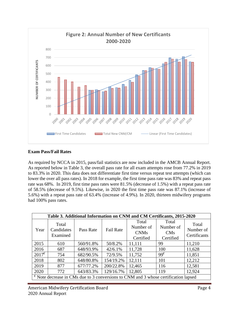

# **Exam Pass/Fail Rates**

As required by NCCA in 2015, pass/fail statistics are now included in the AMCB Annual Report. As reported below in Table 3, the overall pass rate for all exam attempts rose from 77.2% in 2019 to 83.3% in 2020. This data does not differentiate first time versus repeat test attempts (which can lower the over all pass rates). In 2018 for example, the first time pass rate was 83% and repeat pass rate was 68%. In 2019, first time pass rates were 81.5% (decrease of 1.5%) with a repeat pass rate of 58.5% (decrease of 9.5%). Likewise, in 2020 the first time pass rate was 87.1% (increase of 5.6%) with a repeat pass rate of 63.4% (increase of 4.9%). In 2020, thirteen midwifery programs had 100% pass rates.

| Table 3. Additional Information on CNM and CM Certificants, 2015-2020                        |                                 |           |                  |                                                |                                        |                                    |  |  |
|----------------------------------------------------------------------------------------------|---------------------------------|-----------|------------------|------------------------------------------------|----------------------------------------|------------------------------------|--|--|
| Year                                                                                         | Total<br>Candidates<br>Examined | Pass Rate | <b>Fail Rate</b> | Total<br>Number of<br><b>CNMs</b><br>Certified | Total<br>Number of<br>CMs<br>Certified | Total<br>Number of<br>Certificants |  |  |
| 2015                                                                                         | 610                             | 560/91.8% | 50/8.2%          | 11,111                                         | 99                                     | 11,210                             |  |  |
| 2016                                                                                         | 687                             | 648/93.9% | 42/6.1%          | 11,728                                         | 100                                    | 11,628                             |  |  |
| $2017^{\epsilon}$                                                                            | 754                             | 682/90.5% | 72/9.5%          | 11,752                                         | $99^{\epsilon}$                        | 11,851                             |  |  |
| 2018                                                                                         | 802                             | 648/80.8% | 154/19.2%        | 12,111                                         | 101                                    | 12,212                             |  |  |
| 2019                                                                                         | 877                             | 677/77.2% | 200/22.8%        | 12,465                                         | 116                                    | 12,581                             |  |  |
| 2020                                                                                         | 772                             | 643/83.3% | 129/16.7%        | 12,805                                         | 119                                    | 12,924                             |  |  |
| $\epsilon$ Note decrease in CMs due to 3 conversions to CNM and 3 whose certification lapsed |                                 |           |                  |                                                |                                        |                                    |  |  |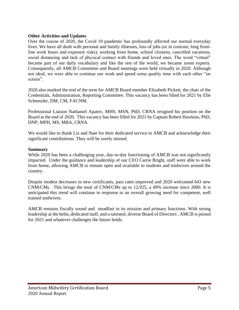## **Other Activities and Updates**

Over the course of 2020, the Covid 19 pandemic has profoundly affected our normal everyday lives. We have all dealt with personal and family illnesses, loss of jobs (or in contrast; long frontline work hours and exposure risks), working from home, school closures, cancelled vacations, social distancing and lack of physical contact with friends and loved ones. The word "virtual" became part of our daily vocabulary and like the rest of the world, we became zoom experts. Consequently, all AMCB Committee and Board meetings were held virtually in 2020. Although not ideal, we were able to continue our work and spend some quality time with each other "on screen".

2020 also marked the end of the term for AMCB Board member Elizabeth Pickett, the chair of the Credentials, Administration, Reporting Committee. This vacancy has been filled for 2021 by Elle Schnetzler, DM, CM, FACNM.

Professional Liaison Nathaniel Apatov, MHS, MSN, PhD, CRNA resigned his position on the Board at the end of 2020. This vacancy has been filled for 2021 by Captain Robert Hawkins, PhD, DNP, MPH, MS, MBA, CRNA.

We would like to thank Liz and Nate for their dedicated service to AMCB and acknowledge their significant contributions. They will be sorely missed.

## **Summary**

While 2020 has been a challenging year, day-to-day functioning of AMCB was not significantly impacted. Under the guidance and leadership of our CEO Carrie Bright, staff were able to work from home, allowing AMCB to remain open and available to students and midwives around the country.

Despite modest decreases in new certificants, pass rates improved and 2020 welcomed 643 new CNM/CMs. This brings the total of CNM/CMs up to 12,925, a 49% increase since 2000. It is anticipated this trend will continue in response to an overall growing need for competent, well trained midwives.

AMCB remains fiscally sound and steadfast in its mission and primary functions. With strong leadership at the helm, dedicated staff, and a talented, diverse Board of Directors , AMCB is poised for 2021 and whatever challenges the future holds.